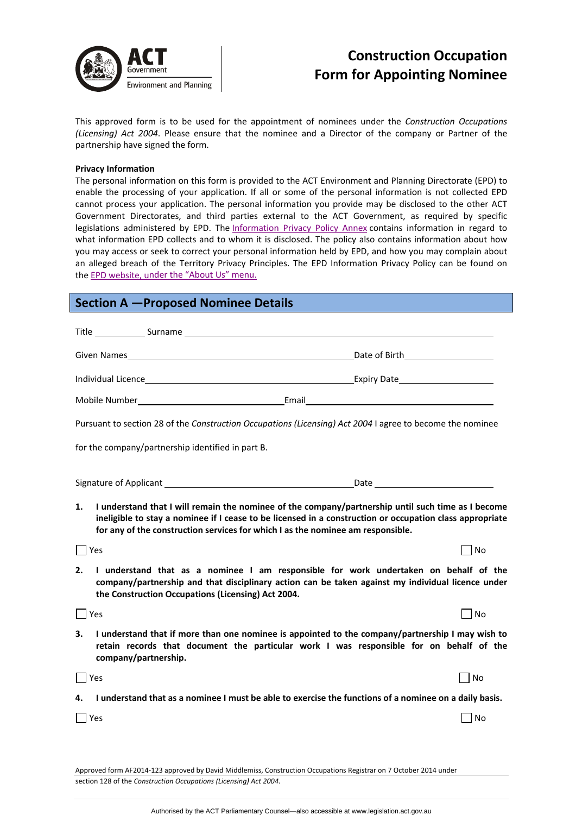

# **Construction Occupation Form for Appointing Nominee**

This approved form is to be used for the appointment of nominees under the *Construction Occupations (Licensing) Act 2004*. Please ensure that the nominee and a Director of the company or Partner of the partnership have signed the form.

#### **Privacy Information**

The personal information on this form is provided to the ACT Environment and Planning Directorate (EPD) to enable the processing of your application. If all or some of the personal information is not collected EPD cannot process your application. The personal information you provide may be disclosed to the other ACT Government Directorates, and third parties external to the ACT Government, as required by specific legislations administered by EPD. The [Information](http://www.environment.act.gov.au/__data/assets/pdf_file/0006/633741/Information-Privacy-Policy-Annex.pdf) Privacy Policy Annex contains information in regard to what information EPD collects and to whom it is disclosed. The policy also contains information about how you may access or seek to correct your personal information held by EPD, and how you may complain about an alleged breach of the Territory Privacy Principles. The EPD Information Privacy Policy can be found on the EPD [website,](http://www.environment.act.gov.au/about/privacy) under the "About Us" menu.

## **Section A —Proposed Nominee Details**

| Pursuant to section 28 of the Construction Occupations (Licensing) Act 2004 I agree to become the nominee<br>I understand that I will remain the nominee of the company/partnership until such time as I become<br>1.<br>ineligible to stay a nominee if I cease to be licensed in a construction or occupation class appropriate<br>for any of the construction services for which I as the nominee am responsible.<br>  Yes<br>  No<br>2.<br>I understand that as a nominee I am responsible for work undertaken on behalf of the<br>company/partnership and that disciplinary action can be taken against my individual licence under<br>the Construction Occupations (Licensing) Act 2004.<br>$\Box$ Yes<br>$ $ No<br>I understand that if more than one nominee is appointed to the company/partnership I may wish to<br>3.<br>retain records that document the particular work I was responsible for on behalf of the<br>company/partnership.<br>  Yes<br>No<br>I understand that as a nominee I must be able to exercise the functions of a nominee on a daily basis.<br>4. |  |  |
|------------------------------------------------------------------------------------------------------------------------------------------------------------------------------------------------------------------------------------------------------------------------------------------------------------------------------------------------------------------------------------------------------------------------------------------------------------------------------------------------------------------------------------------------------------------------------------------------------------------------------------------------------------------------------------------------------------------------------------------------------------------------------------------------------------------------------------------------------------------------------------------------------------------------------------------------------------------------------------------------------------------------------------------------------------------------------------|--|--|
|                                                                                                                                                                                                                                                                                                                                                                                                                                                                                                                                                                                                                                                                                                                                                                                                                                                                                                                                                                                                                                                                                    |  |  |
| for the company/partnership identified in part B.                                                                                                                                                                                                                                                                                                                                                                                                                                                                                                                                                                                                                                                                                                                                                                                                                                                                                                                                                                                                                                  |  |  |
|                                                                                                                                                                                                                                                                                                                                                                                                                                                                                                                                                                                                                                                                                                                                                                                                                                                                                                                                                                                                                                                                                    |  |  |
|                                                                                                                                                                                                                                                                                                                                                                                                                                                                                                                                                                                                                                                                                                                                                                                                                                                                                                                                                                                                                                                                                    |  |  |
|                                                                                                                                                                                                                                                                                                                                                                                                                                                                                                                                                                                                                                                                                                                                                                                                                                                                                                                                                                                                                                                                                    |  |  |
|                                                                                                                                                                                                                                                                                                                                                                                                                                                                                                                                                                                                                                                                                                                                                                                                                                                                                                                                                                                                                                                                                    |  |  |
|                                                                                                                                                                                                                                                                                                                                                                                                                                                                                                                                                                                                                                                                                                                                                                                                                                                                                                                                                                                                                                                                                    |  |  |
|                                                                                                                                                                                                                                                                                                                                                                                                                                                                                                                                                                                                                                                                                                                                                                                                                                                                                                                                                                                                                                                                                    |  |  |
|                                                                                                                                                                                                                                                                                                                                                                                                                                                                                                                                                                                                                                                                                                                                                                                                                                                                                                                                                                                                                                                                                    |  |  |
|                                                                                                                                                                                                                                                                                                                                                                                                                                                                                                                                                                                                                                                                                                                                                                                                                                                                                                                                                                                                                                                                                    |  |  |
|                                                                                                                                                                                                                                                                                                                                                                                                                                                                                                                                                                                                                                                                                                                                                                                                                                                                                                                                                                                                                                                                                    |  |  |
|                                                                                                                                                                                                                                                                                                                                                                                                                                                                                                                                                                                                                                                                                                                                                                                                                                                                                                                                                                                                                                                                                    |  |  |
|                                                                                                                                                                                                                                                                                                                                                                                                                                                                                                                                                                                                                                                                                                                                                                                                                                                                                                                                                                                                                                                                                    |  |  |
| Yes<br>  No                                                                                                                                                                                                                                                                                                                                                                                                                                                                                                                                                                                                                                                                                                                                                                                                                                                                                                                                                                                                                                                                        |  |  |
|                                                                                                                                                                                                                                                                                                                                                                                                                                                                                                                                                                                                                                                                                                                                                                                                                                                                                                                                                                                                                                                                                    |  |  |

Approved form AF2014‐123 approved by David Middlemiss, Construction Occupations Registrar on 7 October 2014 under section 128 of the *Construction Occupations (Licensing) Act 2004*.